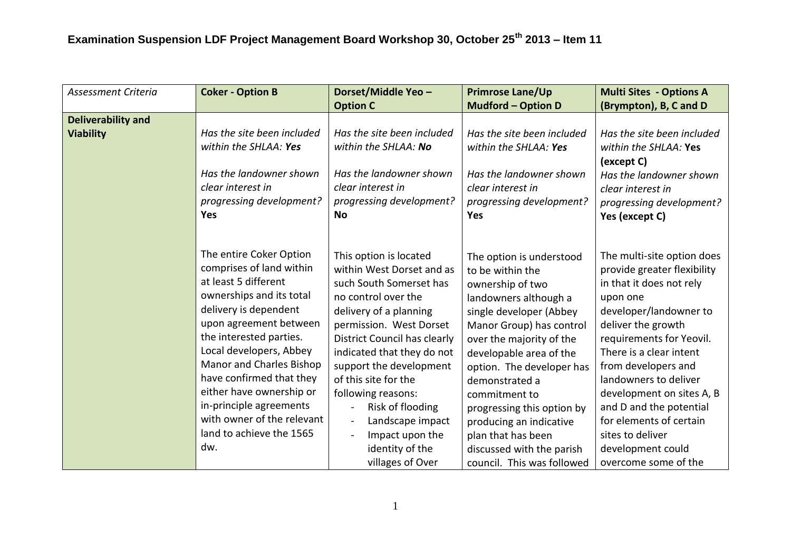| Assessment Criteria       | <b>Coker - Option B</b>    | Dorset/Middle Yeo -                         | <b>Primrose Lane/Up</b>    | <b>Multi Sites - Options A</b>      |
|---------------------------|----------------------------|---------------------------------------------|----------------------------|-------------------------------------|
|                           |                            | <b>Option C</b>                             | <b>Mudford - Option D</b>  | (Brympton), B, C and D              |
| <b>Deliverability and</b> |                            |                                             |                            |                                     |
| <b>Viability</b>          | Has the site been included | Has the site been included                  | Has the site been included | Has the site been included          |
|                           | within the SHLAA: Yes      | within the SHLAA: No                        | within the SHLAA: Yes      | within the SHLAA: Yes<br>(except C) |
|                           | Has the landowner shown    | Has the landowner shown                     | Has the landowner shown    | Has the landowner shown             |
|                           | clear interest in          | clear interest in                           | clear interest in          | clear interest in                   |
|                           | progressing development?   | progressing development?                    | progressing development?   | progressing development?            |
|                           | Yes                        | <b>No</b>                                   | <b>Yes</b>                 | Yes (except C)                      |
|                           |                            |                                             |                            |                                     |
|                           | The entire Coker Option    |                                             |                            |                                     |
|                           | comprises of land within   | This option is located                      | The option is understood   | The multi-site option does          |
|                           | at least 5 different       | within West Dorset and as                   | to be within the           | provide greater flexibility         |
|                           |                            | such South Somerset has                     | ownership of two           | in that it does not rely            |
|                           | ownerships and its total   | no control over the                         | landowners although a      | upon one                            |
|                           | delivery is dependent      | delivery of a planning                      | single developer (Abbey    | developer/landowner to              |
|                           | upon agreement between     | permission. West Dorset                     | Manor Group) has control   | deliver the growth                  |
|                           | the interested parties.    | District Council has clearly                | over the majority of the   | requirements for Yeovil.            |
|                           | Local developers, Abbey    | indicated that they do not                  | developable area of the    | There is a clear intent             |
|                           | Manor and Charles Bishop   | support the development                     | option. The developer has  | from developers and                 |
|                           | have confirmed that they   | of this site for the                        | demonstrated a             | landowners to deliver               |
|                           | either have ownership or   | following reasons:                          | commitment to              | development on sites A, B           |
|                           | in-principle agreements    | Risk of flooding<br>$\blacksquare$          | progressing this option by | and D and the potential             |
|                           | with owner of the relevant | Landscape impact<br>$\blacksquare$          | producing an indicative    | for elements of certain             |
|                           | land to achieve the 1565   | Impact upon the<br>$\overline{\phantom{a}}$ | plan that has been         | sites to deliver                    |
|                           | dw.                        | identity of the                             | discussed with the parish  | development could                   |
|                           |                            | villages of Over                            | council. This was followed | overcome some of the                |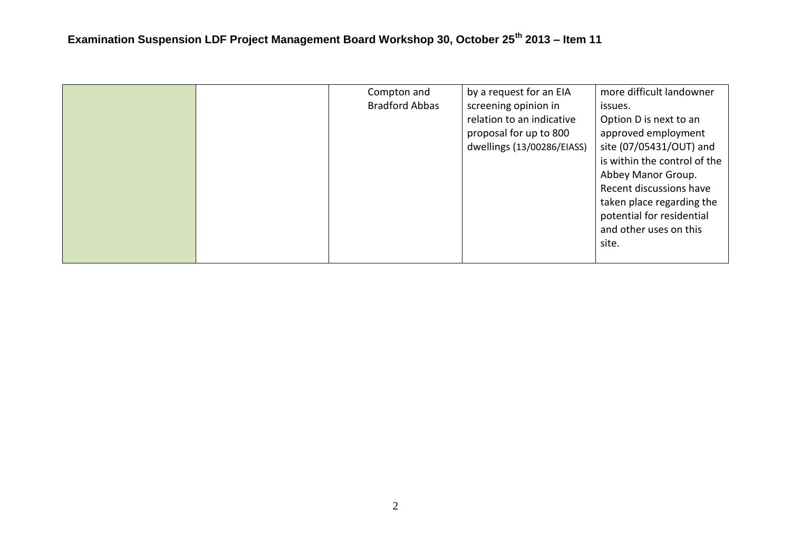|  | Compton and<br><b>Bradford Abbas</b> | by a request for an EIA<br>screening opinion in<br>relation to an indicative<br>proposal for up to 800<br>dwellings (13/00286/EIASS) | more difficult landowner<br>issues.<br>Option D is next to an<br>approved employment<br>site (07/05431/OUT) and<br>is within the control of the<br>Abbey Manor Group.<br>Recent discussions have<br>taken place regarding the<br>potential for residential<br>and other uses on this<br>site. |
|--|--------------------------------------|--------------------------------------------------------------------------------------------------------------------------------------|-----------------------------------------------------------------------------------------------------------------------------------------------------------------------------------------------------------------------------------------------------------------------------------------------|
|--|--------------------------------------|--------------------------------------------------------------------------------------------------------------------------------------|-----------------------------------------------------------------------------------------------------------------------------------------------------------------------------------------------------------------------------------------------------------------------------------------------|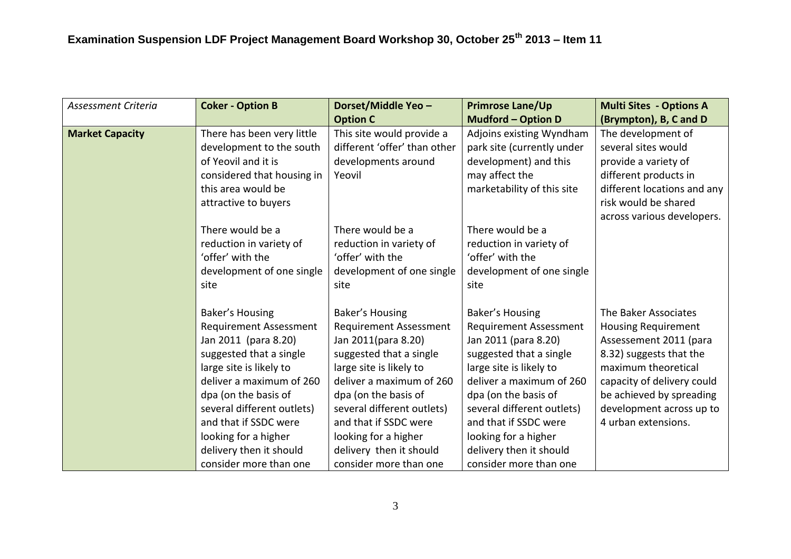| <b>Assessment Criteria</b> | <b>Coker - Option B</b>                                                                                                                                                                                                                                                                                                | Dorset/Middle Yeo -                                                                                                                                                                                                                                                                                                   | <b>Primrose Lane/Up</b>                                                                                                                                                                                                                                                                                                | <b>Multi Sites - Options A</b>                                                                                                                                                                                                              |
|----------------------------|------------------------------------------------------------------------------------------------------------------------------------------------------------------------------------------------------------------------------------------------------------------------------------------------------------------------|-----------------------------------------------------------------------------------------------------------------------------------------------------------------------------------------------------------------------------------------------------------------------------------------------------------------------|------------------------------------------------------------------------------------------------------------------------------------------------------------------------------------------------------------------------------------------------------------------------------------------------------------------------|---------------------------------------------------------------------------------------------------------------------------------------------------------------------------------------------------------------------------------------------|
|                            |                                                                                                                                                                                                                                                                                                                        | <b>Option C</b>                                                                                                                                                                                                                                                                                                       | <b>Mudford - Option D</b>                                                                                                                                                                                                                                                                                              | (Brympton), B, C and D                                                                                                                                                                                                                      |
| <b>Market Capacity</b>     | There has been very little<br>development to the south<br>of Yeovil and it is<br>considered that housing in<br>this area would be<br>attractive to buyers                                                                                                                                                              | This site would provide a<br>different 'offer' than other<br>developments around<br>Yeovil                                                                                                                                                                                                                            | Adjoins existing Wyndham<br>park site (currently under<br>development) and this<br>may affect the<br>marketability of this site                                                                                                                                                                                        | The development of<br>several sites would<br>provide a variety of<br>different products in<br>different locations and any<br>risk would be shared<br>across various developers.                                                             |
|                            | There would be a<br>reduction in variety of<br>'offer' with the<br>development of one single<br>site                                                                                                                                                                                                                   | There would be a<br>reduction in variety of<br>'offer' with the<br>development of one single<br>site                                                                                                                                                                                                                  | There would be a<br>reduction in variety of<br>'offer' with the<br>development of one single<br>site                                                                                                                                                                                                                   |                                                                                                                                                                                                                                             |
|                            | Baker's Housing<br><b>Requirement Assessment</b><br>Jan 2011 (para 8.20)<br>suggested that a single<br>large site is likely to<br>deliver a maximum of 260<br>dpa (on the basis of<br>several different outlets)<br>and that if SSDC were<br>looking for a higher<br>delivery then it should<br>consider more than one | Baker's Housing<br><b>Requirement Assessment</b><br>Jan 2011(para 8.20)<br>suggested that a single<br>large site is likely to<br>deliver a maximum of 260<br>dpa (on the basis of<br>several different outlets)<br>and that if SSDC were<br>looking for a higher<br>delivery then it should<br>consider more than one | Baker's Housing<br><b>Requirement Assessment</b><br>Jan 2011 (para 8.20)<br>suggested that a single<br>large site is likely to<br>deliver a maximum of 260<br>dpa (on the basis of<br>several different outlets)<br>and that if SSDC were<br>looking for a higher<br>delivery then it should<br>consider more than one | The Baker Associates<br><b>Housing Requirement</b><br>Assessement 2011 (para<br>8.32) suggests that the<br>maximum theoretical<br>capacity of delivery could<br>be achieved by spreading<br>development across up to<br>4 urban extensions. |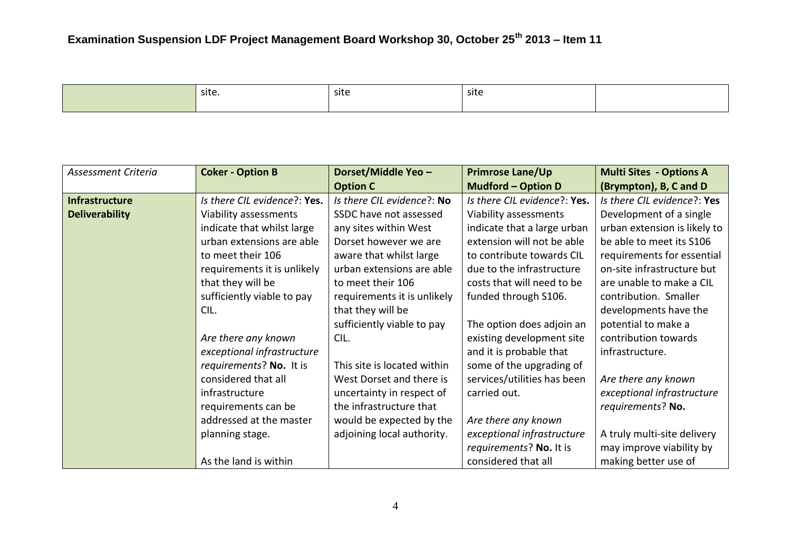site. Notice is site to site in the site of  $\vert$  site is site in the site in the site is site.

| Assessment Criteria   | <b>Coker - Option B</b>      | Dorset/Middle Yeo -         | <b>Primrose Lane/Up</b>      | <b>Multi Sites - Options A</b> |
|-----------------------|------------------------------|-----------------------------|------------------------------|--------------------------------|
|                       |                              | <b>Option C</b>             | <b>Mudford - Option D</b>    | (Brympton), B, C and D         |
| <b>Infrastructure</b> | Is there CIL evidence?: Yes. | Is there CIL evidence?: No  | Is there CIL evidence?: Yes. | Is there CIL evidence?: Yes    |
| <b>Deliverability</b> | Viability assessments        | SSDC have not assessed      | Viability assessments        | Development of a single        |
|                       | indicate that whilst large   | any sites within West       | indicate that a large urban  | urban extension is likely to   |
|                       | urban extensions are able    | Dorset however we are       | extension will not be able   | be able to meet its S106       |
|                       | to meet their 106            | aware that whilst large     | to contribute towards CIL    | requirements for essential     |
|                       | requirements it is unlikely  | urban extensions are able   | due to the infrastructure    | on-site infrastructure but     |
|                       | that they will be            | to meet their 106           | costs that will need to be   | are unable to make a CIL       |
|                       | sufficiently viable to pay   | requirements it is unlikely | funded through S106.         | contribution. Smaller          |
|                       | CIL.                         | that they will be           |                              | developments have the          |
|                       |                              | sufficiently viable to pay  | The option does adjoin an    | potential to make a            |
|                       | Are there any known          | CIL.                        | existing development site    | contribution towards           |
|                       | exceptional infrastructure   |                             | and it is probable that      | infrastructure.                |
|                       | requirements? No. It is      | This site is located within | some of the upgrading of     |                                |
|                       | considered that all          | West Dorset and there is    | services/utilities has been  | Are there any known            |
|                       | infrastructure               | uncertainty in respect of   | carried out.                 | exceptional infrastructure     |
|                       | requirements can be          | the infrastructure that     |                              | requirements? No.              |
|                       | addressed at the master      | would be expected by the    | Are there any known          |                                |
|                       | planning stage.              | adjoining local authority.  | exceptional infrastructure   | A truly multi-site delivery    |
|                       |                              |                             | requirements? No. It is      | may improve viability by       |
|                       | As the land is within        |                             | considered that all          | making better use of           |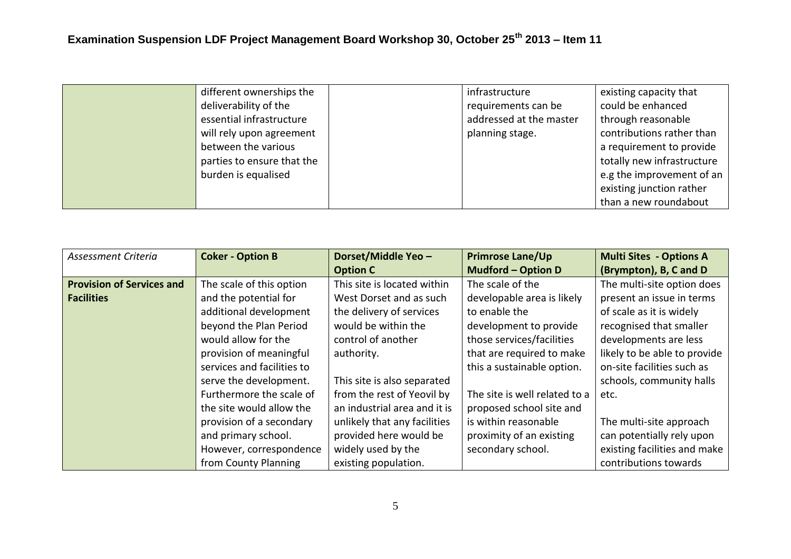| different ownerships the   | infrastructure          | existing capacity that     |
|----------------------------|-------------------------|----------------------------|
| deliverability of the      | requirements can be     | could be enhanced          |
| essential infrastructure   | addressed at the master | through reasonable         |
| will rely upon agreement   | planning stage.         | contributions rather than  |
| between the various        |                         | a requirement to provide   |
| parties to ensure that the |                         | totally new infrastructure |
| burden is equalised        |                         | e.g the improvement of an  |
|                            |                         | existing junction rather   |
|                            |                         | than a new roundabout      |

| Assessment Criteria              | <b>Coker - Option B</b>    | Dorset/Middle Yeo -          | <b>Primrose Lane/Up</b>       | <b>Multi Sites - Options A</b> |
|----------------------------------|----------------------------|------------------------------|-------------------------------|--------------------------------|
|                                  |                            | <b>Option C</b>              | <b>Mudford - Option D</b>     | (Brympton), B, C and D         |
| <b>Provision of Services and</b> | The scale of this option   | This site is located within  | The scale of the              | The multi-site option does     |
| <b>Facilities</b>                | and the potential for      | West Dorset and as such      | developable area is likely    | present an issue in terms      |
|                                  | additional development     | the delivery of services     | to enable the                 | of scale as it is widely       |
|                                  | beyond the Plan Period     | would be within the          | development to provide        | recognised that smaller        |
|                                  | would allow for the        | control of another           | those services/facilities     | developments are less          |
|                                  | provision of meaningful    | authority.                   | that are required to make     | likely to be able to provide   |
|                                  | services and facilities to |                              | this a sustainable option.    | on-site facilities such as     |
|                                  | serve the development.     | This site is also separated  |                               | schools, community halls       |
|                                  | Furthermore the scale of   | from the rest of Yeovil by   | The site is well related to a | etc.                           |
|                                  | the site would allow the   | an industrial area and it is | proposed school site and      |                                |
|                                  | provision of a secondary   | unlikely that any facilities | is within reasonable          | The multi-site approach        |
|                                  | and primary school.        | provided here would be       | proximity of an existing      | can potentially rely upon      |
|                                  | However, correspondence    | widely used by the           | secondary school.             | existing facilities and make   |
|                                  | from County Planning       | existing population.         |                               | contributions towards          |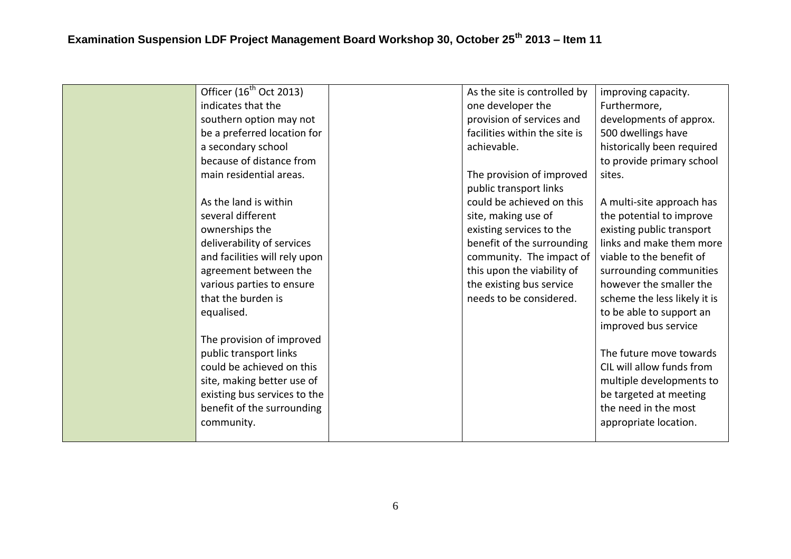| Officer $(16^{th}$ Oct 2013)  | As the site is controlled by  | improving capacity.          |
|-------------------------------|-------------------------------|------------------------------|
| indicates that the            | one developer the             | Furthermore,                 |
| southern option may not       | provision of services and     | developments of approx.      |
| be a preferred location for   | facilities within the site is | 500 dwellings have           |
| a secondary school            | achievable.                   | historically been required   |
| because of distance from      |                               | to provide primary school    |
| main residential areas.       | The provision of improved     | sites.                       |
|                               | public transport links        |                              |
| As the land is within         | could be achieved on this     | A multi-site approach has    |
| several different             | site, making use of           | the potential to improve     |
| ownerships the                | existing services to the      | existing public transport    |
| deliverability of services    | benefit of the surrounding    | links and make them more     |
| and facilities will rely upon | community. The impact of      | viable to the benefit of     |
| agreement between the         | this upon the viability of    | surrounding communities      |
| various parties to ensure     | the existing bus service      | however the smaller the      |
| that the burden is            | needs to be considered.       | scheme the less likely it is |
| equalised.                    |                               | to be able to support an     |
|                               |                               | improved bus service         |
| The provision of improved     |                               |                              |
| public transport links        |                               | The future move towards      |
| could be achieved on this     |                               | CIL will allow funds from    |
| site, making better use of    |                               | multiple developments to     |
| existing bus services to the  |                               | be targeted at meeting       |
| benefit of the surrounding    |                               | the need in the most         |
| community.                    |                               | appropriate location.        |
|                               |                               |                              |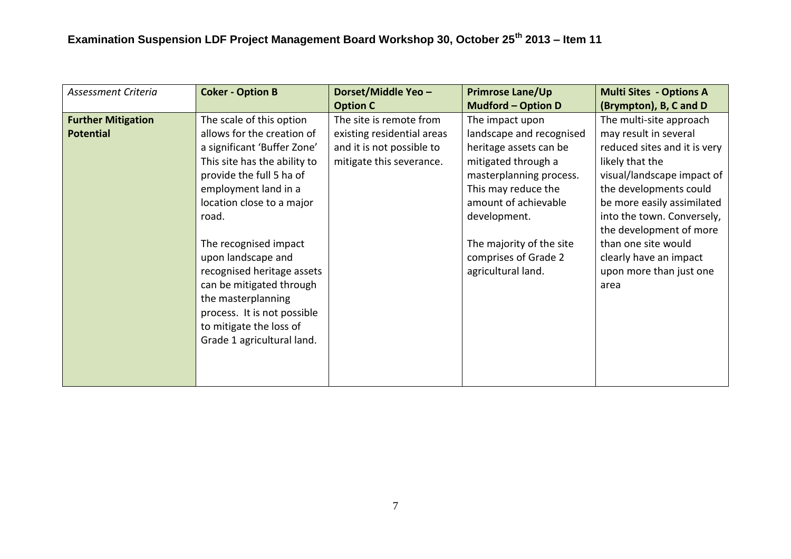| Assessment Criteria                           | <b>Coker - Option B</b>                                                                                                                                                                                             | Dorset/Middle Yeo -                                                                                            | <b>Primrose Lane/Up</b>                                                                                                                                                                | <b>Multi Sites - Options A</b>                                                                                                                                                                                          |
|-----------------------------------------------|---------------------------------------------------------------------------------------------------------------------------------------------------------------------------------------------------------------------|----------------------------------------------------------------------------------------------------------------|----------------------------------------------------------------------------------------------------------------------------------------------------------------------------------------|-------------------------------------------------------------------------------------------------------------------------------------------------------------------------------------------------------------------------|
|                                               |                                                                                                                                                                                                                     | <b>Option C</b>                                                                                                | <b>Mudford - Option D</b>                                                                                                                                                              | (Brympton), B, C and D                                                                                                                                                                                                  |
| <b>Further Mitigation</b><br><b>Potential</b> | The scale of this option<br>allows for the creation of<br>a significant 'Buffer Zone'<br>This site has the ability to<br>provide the full 5 ha of<br>employment land in a<br>location close to a major<br>road.     | The site is remote from<br>existing residential areas<br>and it is not possible to<br>mitigate this severance. | The impact upon<br>landscape and recognised<br>heritage assets can be<br>mitigated through a<br>masterplanning process.<br>This may reduce the<br>amount of achievable<br>development. | The multi-site approach<br>may result in several<br>reduced sites and it is very<br>likely that the<br>visual/landscape impact of<br>the developments could<br>be more easily assimilated<br>into the town. Conversely, |
|                                               | The recognised impact<br>upon landscape and<br>recognised heritage assets<br>can be mitigated through<br>the masterplanning<br>process. It is not possible<br>to mitigate the loss of<br>Grade 1 agricultural land. |                                                                                                                | The majority of the site<br>comprises of Grade 2<br>agricultural land.                                                                                                                 | the development of more<br>than one site would<br>clearly have an impact<br>upon more than just one<br>area                                                                                                             |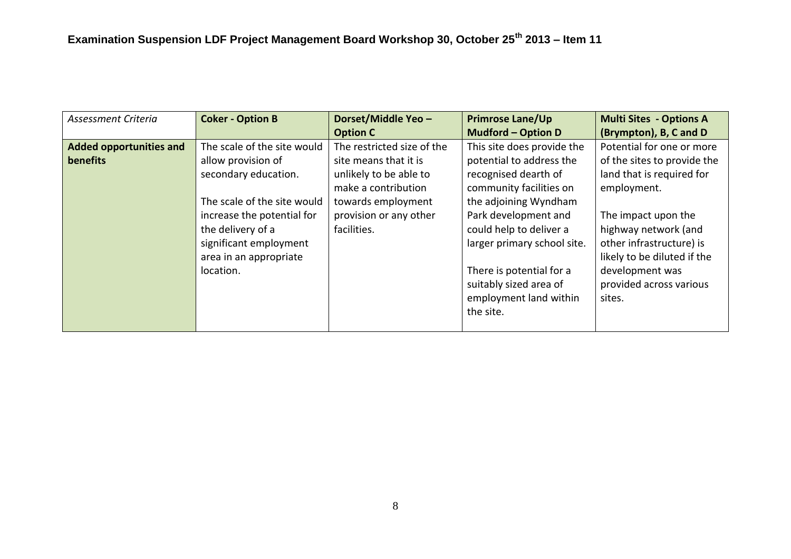| Assessment Criteria            | <b>Coker - Option B</b>     | Dorset/Middle Yeo -        | <b>Primrose Lane/Up</b>     | <b>Multi Sites - Options A</b> |
|--------------------------------|-----------------------------|----------------------------|-----------------------------|--------------------------------|
|                                |                             | <b>Option C</b>            | <b>Mudford - Option D</b>   | (Brympton), B, C and D         |
| <b>Added opportunities and</b> | The scale of the site would | The restricted size of the | This site does provide the  | Potential for one or more      |
| benefits                       | allow provision of          | site means that it is      | potential to address the    | of the sites to provide the    |
|                                | secondary education.        | unlikely to be able to     | recognised dearth of        | land that is required for      |
|                                |                             | make a contribution        | community facilities on     | employment.                    |
|                                | The scale of the site would | towards employment         | the adjoining Wyndham       |                                |
|                                | increase the potential for  | provision or any other     | Park development and        | The impact upon the            |
|                                | the delivery of a           | facilities.                | could help to deliver a     | highway network (and           |
|                                | significant employment      |                            | larger primary school site. | other infrastructure) is       |
|                                | area in an appropriate      |                            |                             | likely to be diluted if the    |
|                                | location.                   |                            | There is potential for a    | development was                |
|                                |                             |                            | suitably sized area of      | provided across various        |
|                                |                             |                            | employment land within      | sites.                         |
|                                |                             |                            | the site.                   |                                |
|                                |                             |                            |                             |                                |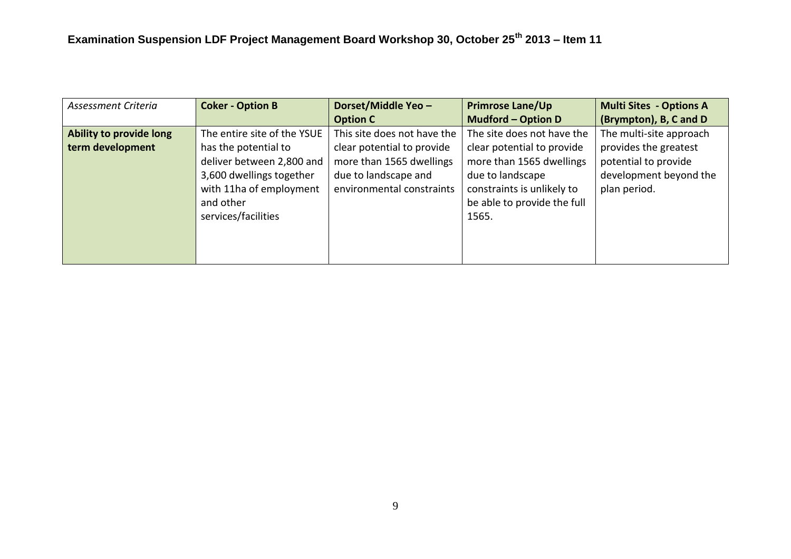| Assessment Criteria     | <b>Coker - Option B</b>     | Dorset/Middle Yeo -         | <b>Primrose Lane/Up</b>     | <b>Multi Sites - Options A</b> |
|-------------------------|-----------------------------|-----------------------------|-----------------------------|--------------------------------|
|                         |                             | <b>Option C</b>             | <b>Mudford - Option D</b>   | (Brympton), B, C and D         |
| Ability to provide long | The entire site of the YSUE | This site does not have the | The site does not have the  | The multi-site approach        |
| term development        | has the potential to        | clear potential to provide  | clear potential to provide  | provides the greatest          |
|                         | deliver between 2,800 and   | more than 1565 dwellings    | more than 1565 dwellings    | potential to provide           |
|                         | 3,600 dwellings together    | due to landscape and        | due to landscape            | development beyond the         |
|                         | with 11ha of employment     | environmental constraints   | constraints is unlikely to  | plan period.                   |
|                         | and other                   |                             | be able to provide the full |                                |
|                         | services/facilities         |                             | 1565.                       |                                |
|                         |                             |                             |                             |                                |
|                         |                             |                             |                             |                                |
|                         |                             |                             |                             |                                |